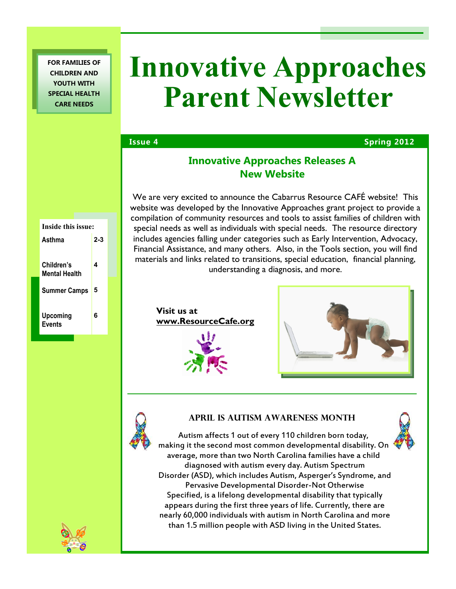**FOR FAMILIES OF CHILDREN AND YOUTH WITH SPECIAL HEALTH CARE NEEDS**

# **Innovative Approaches Parent Newsletter**

## **Issue 4 Spring 2012**

# **Innovative Approaches Releases A New Website**

We are very excited to announce the Cabarrus Resource CAFÉ website! This website was developed by the Innovative Approaches grant project to provide a compilation of community resources and tools to assist families of children with special needs as well as individuals with special needs. The resource directory includes agencies falling under categories such as Early Intervention, Advocacy, Financial Assistance, and many others. Also, in the Tools section, you will find materials and links related to transitions, special education, financial planning, understanding a diagnosis, and more.

**Visit us at www.ResourceCafe.org**





# **April is Autism Awareness Month**



Autism affects 1 out of every 110 children born today, making it the second most common developmental disability. On average, more than two North Carolina families have a child diagnosed with autism every day. Autism Spectrum Disorder (ASD), which includes Autism, Asperger's Syndrome, and Pervasive Developmental Disorder-Not Otherwise Specified, is a lifelong developmental disability that typically appears during the first three years of life. Currently, there are nearly 60,000 individuals with autism in North Carolina and more than 1.5 million people with ASD living in the United States.

| Inside this issue:  |     |
|---------------------|-----|
| Asthma              | 2-3 |
|                     |     |
| Children's          | 4   |
| Mental Health       |     |
| <b>Summer Camps</b> | 5   |
|                     |     |
| Upcoming            | 6   |
| <b>Events</b>       |     |
|                     |     |



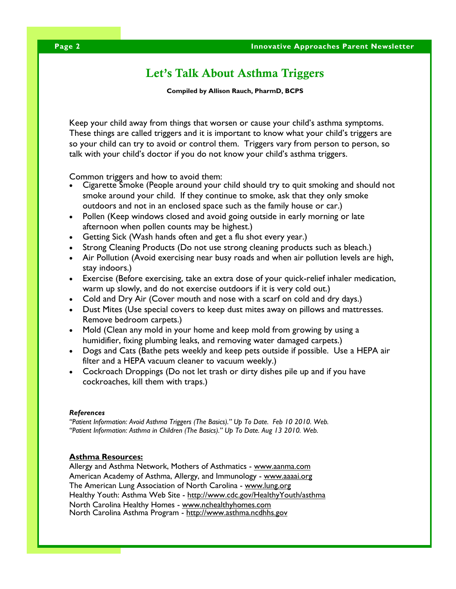# **Let's Talk About Asthma Triggers**

**Compiled by Allison Rauch, PharmD, BCPS**

Keep your child away from things that worsen or cause your child's asthma symptoms. These things are called triggers and it is important to know what your child's triggers are so your child can try to avoid or control them. Triggers vary from person to person, so talk with your child's doctor if you do not know your child's asthma triggers.

Common triggers and how to avoid them:

- Cigarette Smoke (People around your child should try to quit smoking and should not smoke around your child. If they continue to smoke, ask that they only smoke outdoors and not in an enclosed space such as the family house or car.)
- Pollen (Keep windows closed and avoid going outside in early morning or late afternoon when pollen counts may be highest.)
- Getting Sick (Wash hands often and get a flu shot every year.)
- Strong Cleaning Products (Do not use strong cleaning products such as bleach.)
- Air Pollution (Avoid exercising near busy roads and when air pollution levels are high, stay indoors.)
- Exercise (Before exercising, take an extra dose of your quick-relief inhaler medication, warm up slowly, and do not exercise outdoors if it is very cold out.)
- Cold and Dry Air (Cover mouth and nose with a scarf on cold and dry days.)
- Dust Mites (Use special covers to keep dust mites away on pillows and mattresses. Remove bedroom carpets.)
- Mold (Clean any mold in your home and keep mold from growing by using a humidifier, fixing plumbing leaks, and removing water damaged carpets.)
- Dogs and Cats (Bathe pets weekly and keep pets outside if possible. Use a HEPA air filter and a HEPA vacuum cleaner to vacuum weekly.)
- Cockroach Droppings (Do not let trash or dirty dishes pile up and if you have cockroaches, kill them with traps.)

#### *References*

*"Patient Information: Avoid Asthma Triggers (The Basics)." Up To Date. Feb 10 2010. Web. "Patient Information: Asthma in Children (The Basics)." Up To Date. Aug 13 2010. Web.*

#### **Asthma Resources:**

Allergy and Asthma Network, Mothers of Asthmatics - www.aanma.com American Academy of Asthma, Allergy, and Immunology - www.aaaai.org The American Lung Association of North Carolina - www.lung.org Healthy Youth: Asthma Web Site - http://www.cdc.gov/HealthyYouth/asthma North Carolina Healthy Homes - www.nchealthyhomes.com North Carolina Asthma Program - http://www.asthma.ncdhhs.gov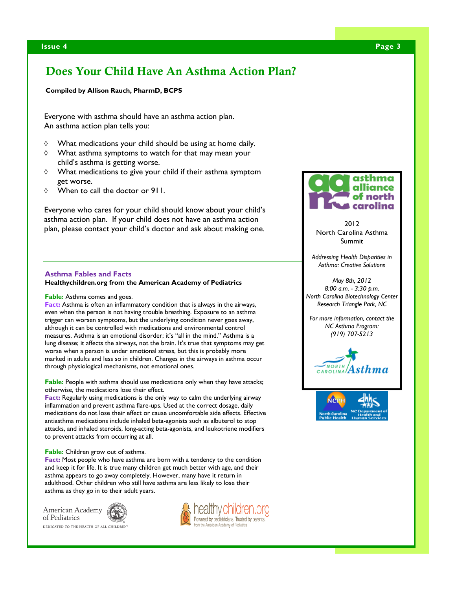# **Does Your Child Have An Asthma Action Plan?**

**Compiled by Allison Rauch, PharmD, BCPS**

Everyone with asthma should have an asthma action plan. An asthma action plan tells you:

- $\Diamond$  What medications your child should be using at home daily.
- $\Diamond$  What asthma symptoms to watch for that may mean your child's asthma is getting worse.
- $\Diamond$  What medications to give your child if their asthma symptom get worse.
- When to call the doctor or 911.

Everyone who cares for your child should know about your child's asthma action plan. If your child does not have an asthma action plan, please contact your child's doctor and ask about making one.

#### **Asthma Fables and Facts**

**Healthychildren.org from the American Academy of Pediatrics**

#### **Fable:** Asthma comes and goes.

**Fact:** Asthma is often an inflammatory condition that is always in the airways, even when the person is not having trouble breathing. Exposure to an asthma trigger can worsen symptoms, but the underlying condition never goes away, although it can be controlled with medications and environmental control measures. Asthma is an emotional disorder; it's "all in the mind." Asthma is a lung disease; it affects the airways, not the brain. It's true that symptoms may get worse when a person is under emotional stress, but this is probably more marked in adults and less so in children. Changes in the airways in asthma occur through physiological mechanisms, not emotional ones.

**Fable:** People with asthma should use medications only when they have attacks; otherwise, the medications lose their effect.

Fact: Regularly using medications is the only way to calm the underlying airway inflammation and prevent asthma flare-ups. Used at the correct dosage, daily medications do not lose their effect or cause uncomfortable side effects. Effective antiasthma medications include inhaled beta-agonists such as albuterol to stop attacks, and inhaled steroids, long-acting beta-agonists, and leukotriene modifiers to prevent attacks from occurring at all.

#### **Fable:** Children grow out of asthma.

**Fact:** Most people who have asthma are born with a tendency to the condition and keep it for life. It is true many children get much better with age, and their asthma appears to go away completely. However, many have it return in adulthood. Other children who still have asthma are less likely to lose their asthma as they go in to their adult years.

American Academy of Pediatrics

DEDICATED TO THE HEALTH OF ALL CHILDRE





2012 North Carolina Asthma Summit

*Addressing Health Disparities in Asthma: Creative Solutions*

*May 8th, 2012 8:00 a.m. - 3:30 p.m. North Carolina Biotechnology Center Research Triangle Park, NC*

*For more information, contact the NC Asthma Program: (919) 707-5213*



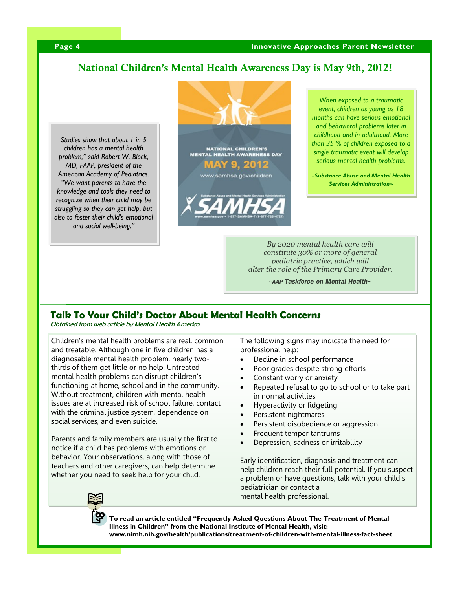## **National Children's Mental Health Awareness Day is May 9th, 2012!**

*Studies show that about 1 in 5 children has a mental health problem," said Robert W. Block, MD, FAAP, president of the American Academy of Pediatrics. "We want parents to have the knowledge and tools they need to recognize when their child may be struggling so they can get help, but also to foster their child's emotional and social well-being."*



*When exposed to a traumatic event, children as young as 18 months can have serious emotional and behavioral problems later in childhood and in adulthood. More than 35 % of children exposed to a single traumatic event will develop serious mental health problems.*

*~Substance Abuse and Mental Health Services Administration~*

*By 2020 mental health care will constitute 30% or more of general pediatric practice, which will alter the role of the Primary Care Provider.*

*~AAP Taskforce on Mental Health~*

## **Talk To Your Child's Doctor About Mental Health Concerns**

Obtained from web article by Mental Health America

Children's mental health problems are real, common and treatable. Although one in five children has a diagnosable mental health problem, nearly twothirds of them get little or no help. Untreated mental health problems can disrupt children's functioning at home, school and in the community. Without treatment, children with mental health issues are at increased risk of school failure, contact with the criminal justice system, dependence on social services, and even suicide.

Parents and family members are usually the first to notice if a child has problems with emotions or behavior. Your observations, along with those of teachers and other caregivers, can help determine whether you need to seek help for your child.

The following signs may indicate the need for professional help:

- Decline in school performance
- Poor grades despite strong efforts
- Constant worry or anxiety
- Repeated refusal to go to school or to take part in normal activities
- Hyperactivity or fidgeting
- Persistent nightmares
- Persistent disobedience or aggression
- Frequent temper tantrums
- Depression, sadness or irritability

Early identification, diagnosis and treatment can help children reach their full potential. If you suspect a problem or have questions, talk with your child's pediatrician or contact a mental health professional.

**To read an article entitled "Frequently Asked Questions About The Treatment of Mental Illness in Children" from the National Institute of Mental Health, visit: www.nimh.nih.gov/health/publications/treatment-of-children-with-mental-illness-fact-sheet**

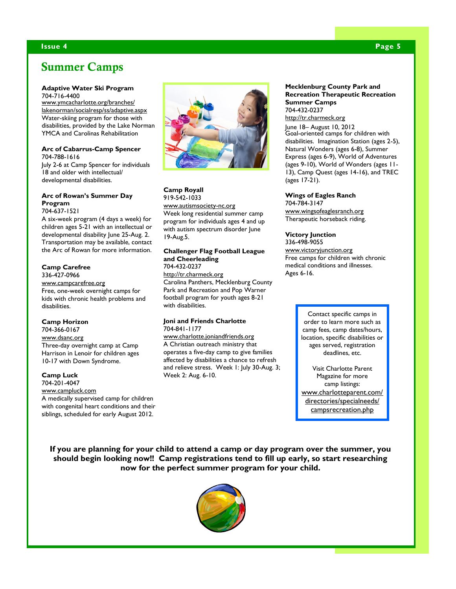# **Summer Camps**

#### **Adaptive Water Ski Program**

704-716-4400

www.ymcacharlotte.org/branches/ lakenorman/socialresp/ss/adaptive.aspx Water-skiing program for those with disabilities, provided by the Lake Norman YMCA and Carolinas Rehabilitation

#### **Arc of Cabarrus-Camp Spencer** 704-788-1616

July 2-6 at Camp Spencer for individuals 18 and older with intellectual/ developmental disabilities.

#### **Arc of Rowan's Summer Day Program**

704-637-1521

A six-week program (4 days a week) for children ages 5-21 with an intellectual or developmental disability June 25-Aug. 2. Transportation may be available, contact the Arc of Rowan for more information.

#### **Camp Carefree**

336-427-0966 www.campcarefree.org Free, one-week overnight camps for kids with chronic health problems and disabilities.

#### **Camp Horizon**

704-366-0167 www.dsanc.org Three-day overnight camp at Camp Harrison in Lenoir for children ages 10-17 with Down Syndrome.

#### **Camp Luck**

704-201-4047 www.campluck.com A medically supervised camp for children with congenital heart conditions and their siblings, scheduled for early August 2012.



### **Camp Royall** 919-542-1033

www.autismsociety-nc.org Week long residential summer camp program for individuals ages 4 and up with autism spectrum disorder June 19-Aug.5.

#### **Challenger Flag Football League and Cheerleading** 704-432-0237

http://tr.charmeck.org Carolina Panthers, Mecklenburg County Park and Recreation and Pop Warner football program for youth ages 8-21 with disabilities.

#### **Joni and Friends Charlotte** 704-841-1177

www.charlotte.joniandfriends.org A Christian outreach ministry that operates a five-day camp to give families affected by disabilities a chance to refresh and relieve stress. Week 1: July 30-Aug. 3; Week 2: Aug. 6-10.

#### **Mecklenburg County Park and Recreation Therapeutic Recreation Summer Camps** 704-432-0237

http://tr.charmeck.org

June 18– August 10, 2012 Goal-oriented camps for children with disabilities. Imagination Station (ages 2-5), Natural Wonders (ages 6-8), Summer Express (ages 6-9), World of Adventures (ages 9-10), World of Wonders (ages 11- 13), Camp Quest (ages 14-16), and TREC (ages 17-21).

#### **Wings of Eagles Ranch**

704-784-3147 www.wingsofeaglesranch.org Therapeutic horseback riding.

#### **Victory Junction** 336-498-9055

www.victoryjunction.org Free camps for children with chronic medical conditions and illnesses. Ages 6-16.

> Contact specific camps in order to learn more such as camp fees, camp dates/hours, location, specific disabilities or ages served, registration deadlines, etc.

> Visit Charlotte Parent Magazine for more camp listings: www.charlotteparent.com/ directories/specialneeds/ campsrecreation.php

**If you are planning for your child to attend a camp or day program over the summer, you should begin looking now!! Camp registrations tend to fill up early, so start researching now for the perfect summer program for your child.**